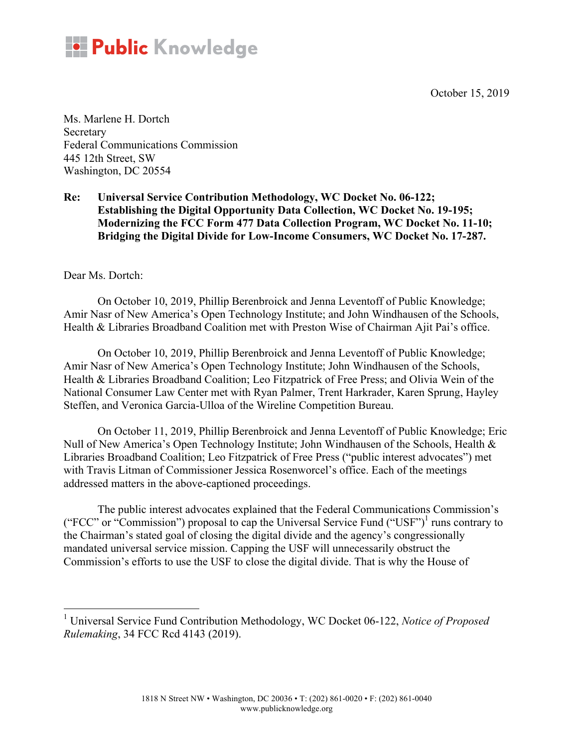October 15, 2019



Ms. Marlene H. Dortch **Secretary** Federal Communications Commission 445 12th Street, SW Washington, DC 20554

**Re: Universal Service Contribution Methodology, WC Docket No. 06-122; Establishing the Digital Opportunity Data Collection, WC Docket No. 19-195; Modernizing the FCC Form 477 Data Collection Program, WC Docket No. 11-10; Bridging the Digital Divide for Low-Income Consumers, WC Docket No. 17-287.**

Dear Ms. Dortch:

On October 10, 2019, Phillip Berenbroick and Jenna Leventoff of Public Knowledge; Amir Nasr of New America's Open Technology Institute; and John Windhausen of the Schools, Health & Libraries Broadband Coalition met with Preston Wise of Chairman Ajit Pai's office.

On October 10, 2019, Phillip Berenbroick and Jenna Leventoff of Public Knowledge; Amir Nasr of New America's Open Technology Institute; John Windhausen of the Schools, Health & Libraries Broadband Coalition; Leo Fitzpatrick of Free Press; and Olivia Wein of the National Consumer Law Center met with Ryan Palmer, Trent Harkrader, Karen Sprung, Hayley Steffen, and Veronica Garcia-Ulloa of the Wireline Competition Bureau.

On October 11, 2019, Phillip Berenbroick and Jenna Leventoff of Public Knowledge; Eric Null of New America's Open Technology Institute; John Windhausen of the Schools, Health & Libraries Broadband Coalition; Leo Fitzpatrick of Free Press ("public interest advocates") met with Travis Litman of Commissioner Jessica Rosenworcel's office. Each of the meetings addressed matters in the above-captioned proceedings.

The public interest advocates explained that the Federal Communications Commission's ("FCC" or "Commission") proposal to cap the Universal Service Fund ("USF")<sup>1</sup> runs contrary to the Chairman's stated goal of closing the digital divide and the agency's congressionally mandated universal service mission. Capping the USF will unnecessarily obstruct the Commission's efforts to use the USF to close the digital divide. That is why the House of

 <sup>1</sup> Universal Service Fund Contribution Methodology, WC Docket 06-122, *Notice of Proposed Rulemaking*, 34 FCC Rcd 4143 (2019).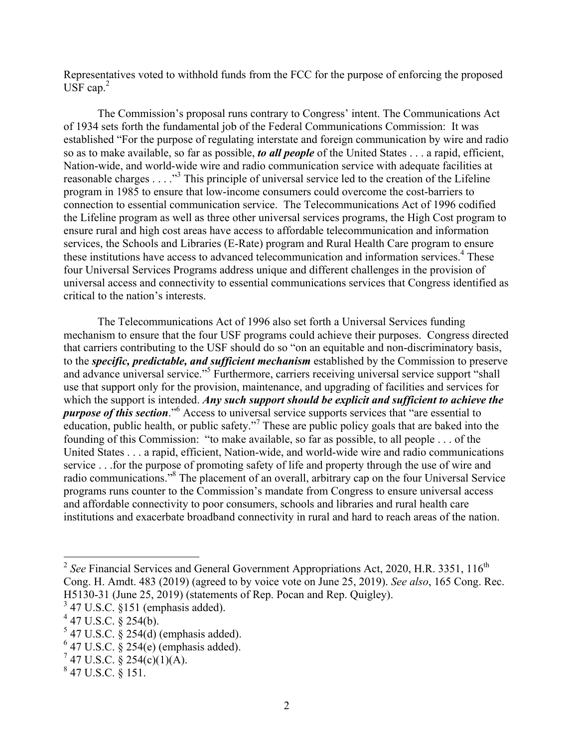Representatives voted to withhold funds from the FCC for the purpose of enforcing the proposed  $\overline{USF}$  cap.<sup>2</sup>

The Commission's proposal runs contrary to Congress' intent. The Communications Act of 1934 sets forth the fundamental job of the Federal Communications Commission: It was established "For the purpose of regulating interstate and foreign communication by wire and radio so as to make available, so far as possible, *to all people* of the United States . . . a rapid, efficient, Nation-wide, and world-wide wire and radio communication service with adequate facilities at reasonable charges . . . . "<sup>3</sup> This principle of universal service led to the creation of the Lifeline program in 1985 to ensure that low-income consumers could overcome the cost-barriers to connection to essential communication service. The Telecommunications Act of 1996 codified the Lifeline program as well as three other universal services programs, the High Cost program to ensure rural and high cost areas have access to affordable telecommunication and information services, the Schools and Libraries (E-Rate) program and Rural Health Care program to ensure these institutions have access to advanced telecommunication and information services. <sup>4</sup> These four Universal Services Programs address unique and different challenges in the provision of universal access and connectivity to essential communications services that Congress identified as critical to the nation's interests.

The Telecommunications Act of 1996 also set forth a Universal Services funding mechanism to ensure that the four USF programs could achieve their purposes. Congress directed that carriers contributing to the USF should do so "on an equitable and non-discriminatory basis, to the *specific, predictable, and sufficient mechanism* established by the Commission to preserve and advance universal service."5 Furthermore, carriers receiving universal service support "shall use that support only for the provision, maintenance, and upgrading of facilities and services for which the support is intended. *Any such support should be explicit and sufficient to achieve the purpose of this section*."6 Access to universal service supports services that "are essential to education, public health, or public safety."<sup>7</sup> These are public policy goals that are baked into the founding of this Commission: "to make available, so far as possible, to all people . . . of the United States . . . a rapid, efficient, Nation-wide, and world-wide wire and radio communications service . . .for the purpose of promoting safety of life and property through the use of wire and radio communications."8 The placement of an overall, arbitrary cap on the four Universal Service programs runs counter to the Commission's mandate from Congress to ensure universal access and affordable connectivity to poor consumers, schools and libraries and rural health care institutions and exacerbate broadband connectivity in rural and hard to reach areas of the nation.

 $2^{2}$  *See* Financial Services and General Government Appropriations Act, 2020, H.R. 3351, 116<sup>th</sup> Cong. H. Amdt. 483 (2019) (agreed to by voice vote on June 25, 2019). *See also*, 165 Cong. Rec. H5130-31 (June 25, 2019) (statements of Rep. Pocan and Rep. Quigley).

 $3$  47 U.S.C. §151 (emphasis added).  $4$  47 U.S.C. § 254(b).

 $5$  47 U.S.C. § 254(d) (emphasis added).

 $6$  47 U.S.C.  $\hat{8}$  254(e) (emphasis added).

 $747$  U.S.C. § 254(c)(1)(A).

 $847$  U.S.C.  $8151$ .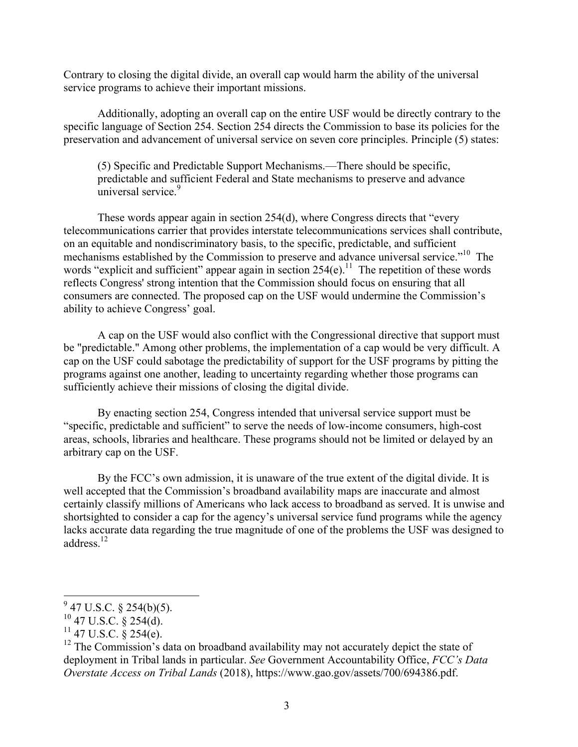Contrary to closing the digital divide, an overall cap would harm the ability of the universal service programs to achieve their important missions.

Additionally, adopting an overall cap on the entire USF would be directly contrary to the specific language of Section 254. Section 254 directs the Commission to base its policies for the preservation and advancement of universal service on seven core principles. Principle (5) states:

(5) Specific and Predictable Support Mechanisms.—There should be specific, predictable and sufficient Federal and State mechanisms to preserve and advance universal service.<sup>9</sup>

These words appear again in section 254(d), where Congress directs that "every telecommunications carrier that provides interstate telecommunications services shall contribute, on an equitable and nondiscriminatory basis, to the specific, predictable, and sufficient mechanisms established by the Commission to preserve and advance universal service."<sup>10</sup> The words "explicit and sufficient" appear again in section  $254(e)$ .<sup>11</sup> The repetition of these words reflects Congress' strong intention that the Commission should focus on ensuring that all consumers are connected. The proposed cap on the USF would undermine the Commission's ability to achieve Congress' goal.

A cap on the USF would also conflict with the Congressional directive that support must be "predictable." Among other problems, the implementation of a cap would be very difficult. A cap on the USF could sabotage the predictability of support for the USF programs by pitting the programs against one another, leading to uncertainty regarding whether those programs can sufficiently achieve their missions of closing the digital divide.

By enacting section 254, Congress intended that universal service support must be "specific, predictable and sufficient" to serve the needs of low-income consumers, high-cost areas, schools, libraries and healthcare. These programs should not be limited or delayed by an arbitrary cap on the USF.

By the FCC's own admission, it is unaware of the true extent of the digital divide. It is well accepted that the Commission's broadband availability maps are inaccurate and almost certainly classify millions of Americans who lack access to broadband as served. It is unwise and shortsighted to consider a cap for the agency's universal service fund programs while the agency lacks accurate data regarding the true magnitude of one of the problems the USF was designed to address $^{12}$ 

 $^{9}$  47 U.S.C. § 254(b)(5).

 $^{10}$  47 U.S.C. § 254(d).

 $11$  47 U.S.C. § 254(e).

 $12$  The Commission's data on broadband availability may not accurately depict the state of deployment in Tribal lands in particular. *See* Government Accountability Office, *FCC's Data Overstate Access on Tribal Lands* (2018), https://www.gao.gov/assets/700/694386.pdf.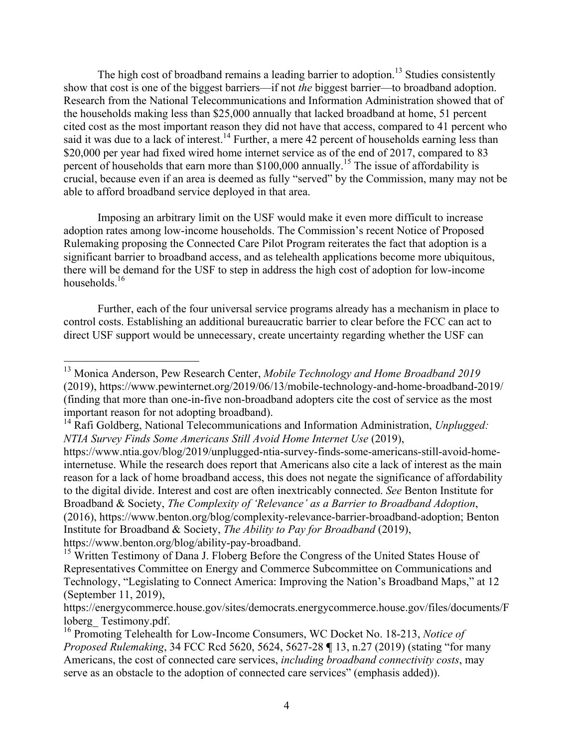The high cost of broadband remains a leading barrier to adoption.<sup>13</sup> Studies consistently show that cost is one of the biggest barriers—if not *the* biggest barrier—to broadband adoption. Research from the National Telecommunications and Information Administration showed that of the households making less than \$25,000 annually that lacked broadband at home, 51 percent cited cost as the most important reason they did not have that access, compared to 41 percent who said it was due to a lack of interest.<sup>14</sup> Further, a mere 42 percent of households earning less than \$20,000 per year had fixed wired home internet service as of the end of 2017, compared to 83 percent of households that earn more than \$100,000 annually.<sup>15</sup> The issue of affordability is crucial, because even if an area is deemed as fully "served" by the Commission, many may not be able to afford broadband service deployed in that area.

Imposing an arbitrary limit on the USF would make it even more difficult to increase adoption rates among low-income households. The Commission's recent Notice of Proposed Rulemaking proposing the Connected Care Pilot Program reiterates the fact that adoption is a significant barrier to broadband access, and as telehealth applications become more ubiquitous, there will be demand for the USF to step in address the high cost of adoption for low-income households.<sup>16</sup>

Further, each of the four universal service programs already has a mechanism in place to control costs. Establishing an additional bureaucratic barrier to clear before the FCC can act to direct USF support would be unnecessary, create uncertainty regarding whether the USF can

 <sup>13</sup> Monica Anderson, Pew Research Center, *Mobile Technology and Home Broadband 2019* (2019), https://www.pewinternet.org/2019/06/13/mobile-technology-and-home-broadband-2019/ (finding that more than one-in-five non-broadband adopters cite the cost of service as the most important reason for not adopting broadband).

<sup>14</sup> Rafi Goldberg, National Telecommunications and Information Administration, *Unplugged: NTIA Survey Finds Some Americans Still Avoid Home Internet Use* (2019),

https://www.ntia.gov/blog/2019/unplugged-ntia-survey-finds-some-americans-still-avoid-homeinternetuse. While the research does report that Americans also cite a lack of interest as the main reason for a lack of home broadband access, this does not negate the significance of affordability to the digital divide. Interest and cost are often inextricably connected. *See* Benton Institute for Broadband & Society, *The Complexity of 'Relevance' as a Barrier to Broadband Adoption*, (2016), https://www.benton.org/blog/complexity-relevance-barrier-broadband-adoption; Benton Institute for Broadband & Society, *The Ability to Pay for Broadband* (2019), https://www.benton.org/blog/ability-pay-broadband.

<sup>&</sup>lt;sup>15</sup> Written Testimony of Dana J. Floberg Before the Congress of the United States House of Representatives Committee on Energy and Commerce Subcommittee on Communications and Technology, "Legislating to Connect America: Improving the Nation's Broadband Maps," at 12 (September 11, 2019),

https://energycommerce.house.gov/sites/democrats.energycommerce.house.gov/files/documents/F loberg\_ Testimony.pdf.

<sup>16</sup> Promoting Telehealth for Low-Income Consumers, WC Docket No. 18-213, *Notice of Proposed Rulemaking*, 34 FCC Rcd 5620, 5624, 5627-28 **¶** 13, n.27 (2019) (stating "for many Americans, the cost of connected care services, *including broadband connectivity costs*, may serve as an obstacle to the adoption of connected care services" (emphasis added)).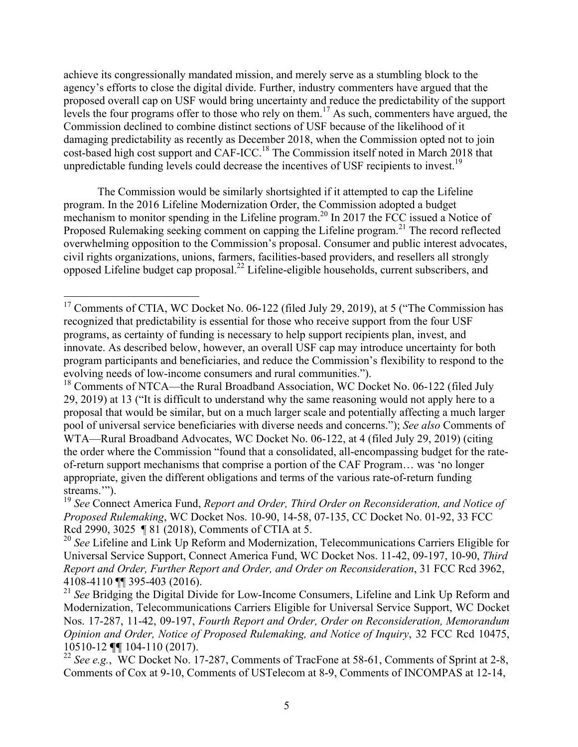achieve its congressionally mandated mission, and merely serve as a stumbling block to the agency's efforts to close the digital divide. Further, industry commenters have argued that the proposed overall cap on USF would bring uncertainty and reduce the predictability of the support levels the four programs offer to those who rely on them.<sup>17</sup> As such, commenters have argued, the Commission declined to combine distinct sections of USF because of the likelihood of it damaging predictability as recently as December 2018, when the Commission opted not to join cost-based high cost support and CAF-ICC.<sup>18</sup> The Commission itself noted in March 2018 that unpredictable funding levels could decrease the incentives of USF recipients to invest.<sup>19</sup>

The Commission would be similarly shortsighted if it attempted to cap the Lifeline program. In the 2016 Lifeline Modernization Order, the Commission adopted a budget mechanism to monitor spending in the Lifeline program.<sup>20</sup> In 2017 the FCC issued a Notice of Proposed Rulemaking seeking comment on capping the Lifeline program.<sup>21</sup> The record reflected overwhelming opposition to the Commission's proposal. Consumer and public interest advocates, civil rights organizations, unions, farmers, facilities-based providers, and resellers all strongly opposed Lifeline budget cap proposal.22 Lifeline-eligible households, current subscribers, and

 $17$  Comments of CTIA, WC Docket No. 06-122 (filed July 29, 2019), at 5 ("The Commission has recognized that predictability is essential for those who receive support from the four USF programs, as certainty of funding is necessary to help support recipients plan, invest, and innovate. As described below, however, an overall USF cap may introduce uncertainty for both program participants and beneficiaries, and reduce the Commission's flexibility to respond to the evolving needs of low-income consumers and rural communities.").

<sup>&</sup>lt;sup>18</sup> Comments of NTCA—the Rural Broadband Association, WC Docket No. 06-122 (filed July 29, 2019) at 13 ("It is difficult to understand why the same reasoning would not apply here to a proposal that would be similar, but on a much larger scale and potentially affecting a much larger pool of universal service beneficiaries with diverse needs and concerns."); *See also* Comments of WTA—Rural Broadband Advocates, WC Docket No. 06-122, at 4 (filed July 29, 2019) (citing the order where the Commission "found that a consolidated, all-encompassing budget for the rateof-return support mechanisms that comprise a portion of the CAF Program… was 'no longer appropriate, given the different obligations and terms of the various rate-of-return funding streams.").

<sup>19</sup> *See* Connect America Fund, *Report and Order, Third Order on Reconsideration, and Notice of Proposed Rulemaking*, WC Docket Nos. 10-90, 14-58, 07-135, CC Docket No. 01-92, 33 FCC Rcd 2990, 3025 ¶ 81 (2018), Comments of CTIA at 5.

<sup>20</sup> *See* Lifeline and Link Up Reform and Modernization, Telecommunications Carriers Eligible for Universal Service Support, Connect America Fund, WC Docket Nos. 11-42, 09-197, 10-90, *Third Report and Order, Further Report and Order, and Order on Reconsideration*, 31 FCC Rcd 3962, 4108-4110 ¶¶ 395-403 (2016).

<sup>&</sup>lt;sup>21</sup> See Bridging the Digital Divide for Low-Income Consumers, Lifeline and Link Up Reform and Modernization, Telecommunications Carriers Eligible for Universal Service Support, WC Docket Nos. 17-287, 11-42, 09-197, *Fourth Report and Order, Order on Reconsideration, Memorandum Opinion and Order, Notice of Proposed Rulemaking, and Notice of Inquiry*, 32 FCC Rcd 10475, 10510-12 **¶¶** 104-110 (2017).

<sup>&</sup>lt;sup>22</sup> *See e.g.*, WC Docket No. 17-287, Comments of TracFone at 58-61, Comments of Sprint at 2-8, Comments of Cox at 9-10, Comments of USTelecom at 8-9, Comments of INCOMPAS at 12-14,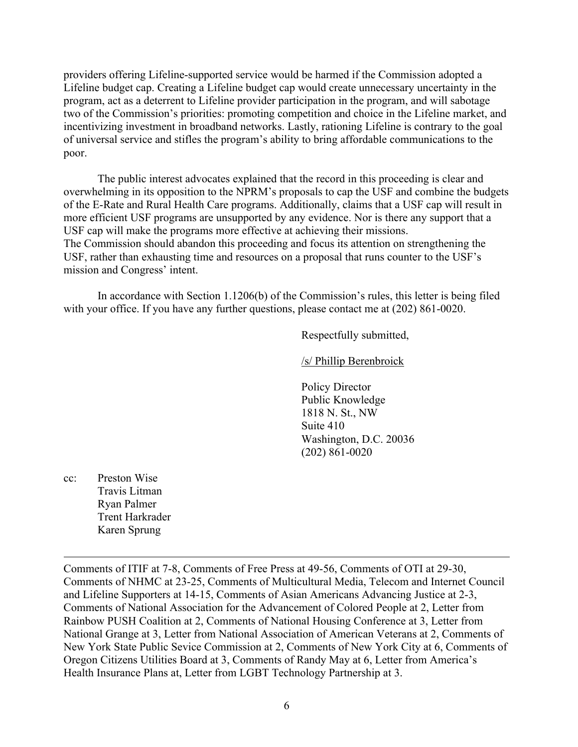providers offering Lifeline-supported service would be harmed if the Commission adopted a Lifeline budget cap. Creating a Lifeline budget cap would create unnecessary uncertainty in the program, act as a deterrent to Lifeline provider participation in the program, and will sabotage two of the Commission's priorities: promoting competition and choice in the Lifeline market, and incentivizing investment in broadband networks. Lastly, rationing Lifeline is contrary to the goal of universal service and stifles the program's ability to bring affordable communications to the poor.

The public interest advocates explained that the record in this proceeding is clear and overwhelming in its opposition to the NPRM's proposals to cap the USF and combine the budgets of the E-Rate and Rural Health Care programs. Additionally, claims that a USF cap will result in more efficient USF programs are unsupported by any evidence. Nor is there any support that a USF cap will make the programs more effective at achieving their missions. The Commission should abandon this proceeding and focus its attention on strengthening the USF, rather than exhausting time and resources on a proposal that runs counter to the USF's mission and Congress' intent.

In accordance with Section 1.1206(b) of the Commission's rules, this letter is being filed with your office. If you have any further questions, please contact me at  $(202) 861-0020$ .

Respectfully submitted,

/s/ Phillip Berenbroick

Policy Director Public Knowledge 1818 N. St., NW Suite 410 Washington, D.C. 20036 (202) 861-0020

cc: Preston Wise Travis Litman Ryan Palmer Trent Harkrader Karen Sprung

Comments of ITIF at 7-8, Comments of Free Press at 49-56, Comments of OTI at 29-30, Comments of NHMC at 23-25, Comments of Multicultural Media, Telecom and Internet Council and Lifeline Supporters at 14-15, Comments of Asian Americans Advancing Justice at 2-3, Comments of National Association for the Advancement of Colored People at 2, Letter from Rainbow PUSH Coalition at 2, Comments of National Housing Conference at 3, Letter from National Grange at 3, Letter from National Association of American Veterans at 2, Comments of New York State Public Sevice Commission at 2, Comments of New York City at 6, Comments of Oregon Citizens Utilities Board at 3, Comments of Randy May at 6, Letter from America's Health Insurance Plans at, Letter from LGBT Technology Partnership at 3.

<u> 1989 - Andrea Santa Andrea Andrea Andrea Andrea Andrea Andrea Andrea Andrea Andrea Andrea Andrea Andrea Andr</u>